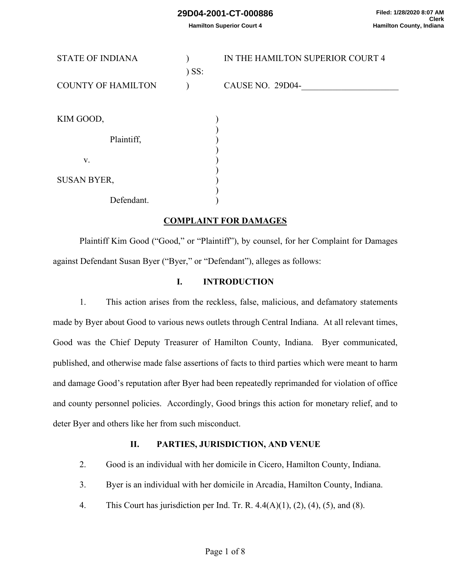**Hamilton Superior Court 4**

| <b>STATE OF INDIANA</b>   |         | IN THE HAMILTON SUPERIOR COURT 4 |
|---------------------------|---------|----------------------------------|
|                           | $)$ SS: |                                  |
| <b>COUNTY OF HAMILTON</b> |         | CAUSE NO. 29D04-                 |
|                           |         |                                  |
| KIM GOOD,                 |         |                                  |
|                           |         |                                  |
| Plaintiff,                |         |                                  |
| V.                        |         |                                  |
|                           |         |                                  |
| <b>SUSAN BYER,</b>        |         |                                  |
|                           |         |                                  |
| Defendant.                |         |                                  |

#### **COMPLAINT FOR DAMAGES**

Plaintiff Kim Good ("Good," or "Plaintiff"), by counsel, for her Complaint for Damages against Defendant Susan Byer ("Byer," or "Defendant"), alleges as follows:

#### **I. INTRODUCTION**

1. This action arises from the reckless, false, malicious, and defamatory statements made by Byer about Good to various news outlets through Central Indiana. At all relevant times, Good was the Chief Deputy Treasurer of Hamilton County, Indiana. Byer communicated, published, and otherwise made false assertions of facts to third parties which were meant to harm and damage Good's reputation after Byer had been repeatedly reprimanded for violation of office and county personnel policies. Accordingly, Good brings this action for monetary relief, and to deter Byer and others like her from such misconduct.

#### **II. PARTIES, JURISDICTION, AND VENUE**

- 2. Good is an individual with her domicile in Cicero, Hamilton County, Indiana.
- 3. Byer is an individual with her domicile in Arcadia, Hamilton County, Indiana.
- 4. This Court has jurisdiction per Ind. Tr. R.  $4.4(A)(1)$ ,  $(2)$ ,  $(4)$ ,  $(5)$ , and  $(8)$ .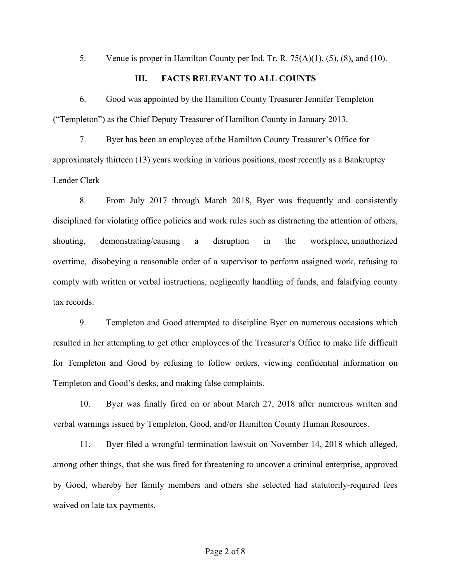5. Venue is proper in Hamilton County per Ind. Tr. R. 75(A)(1), (5), (8), and (10).

#### **III. FACTS RELEVANT TO ALL COUNTS**

6. Good was appointed by the Hamilton County Treasurer Jennifer Templeton ("Templeton") as the Chief Deputy Treasurer of Hamilton County in January 2013.

7. Byer has been an employee of the Hamilton County Treasurer's Office for approximately thirteen (13) years working in various positions, most recently as a Bankruptcy Lender Clerk

8. From July 2017 through March 2018, Byer was frequently and consistently disciplined for violating office policies and work rules such as distracting the attention of others, shouting, demonstrating/causing a disruption in the workplace, unauthorized overtime, disobeying a reasonable order of a supervisor to perform assigned work, refusing to comply with written or verbal instructions, negligently handling of funds, and falsifying county tax records.

9. Templeton and Good attempted to discipline Byer on numerous occasions which resulted in her attempting to get other employees of the Treasurer's Office to make life difficult for Templeton and Good by refusing to follow orders, viewing confidential information on Templeton and Good's desks, and making false complaints.

10. Byer was finally fired on or about March 27, 2018 after numerous written and verbal warnings issued by Templeton, Good, and/or Hamilton County Human Resources.

11. Byer filed a wrongful termination lawsuit on November 14, 2018 which alleged, among other things, that she was fired for threatening to uncover a criminal enterprise, approved by Good, whereby her family members and others she selected had statutorily-required fees waived on late tax payments.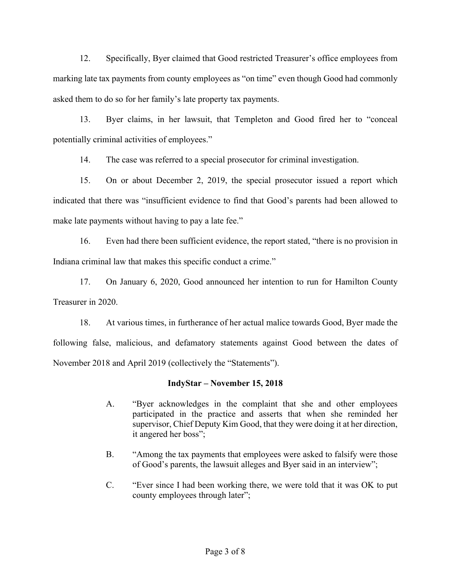12. Specifically, Byer claimed that Good restricted Treasurer's office employees from marking late tax payments from county employees as "on time" even though Good had commonly asked them to do so for her family's late property tax payments.

13. Byer claims, in her lawsuit, that Templeton and Good fired her to "conceal potentially criminal activities of employees."

14. The case was referred to a special prosecutor for criminal investigation.

15. On or about December 2, 2019, the special prosecutor issued a report which indicated that there was "insufficient evidence to find that Good's parents had been allowed to make late payments without having to pay a late fee."

16. Even had there been sufficient evidence, the report stated, "there is no provision in Indiana criminal law that makes this specific conduct a crime."

17. On January 6, 2020, Good announced her intention to run for Hamilton County Treasurer in 2020.

18. At various times, in furtherance of her actual malice towards Good, Byer made the following false, malicious, and defamatory statements against Good between the dates of November 2018 and April 2019 (collectively the "Statements").

## **IndyStar – November 15, 2018**

- A. "Byer acknowledges in the complaint that she and other employees participated in the practice and asserts that when she reminded her supervisor, Chief Deputy Kim Good, that they were doing it at her direction, it angered her boss";
- B. "Among the tax payments that employees were asked to falsify were those of Good's parents, the lawsuit alleges and Byer said in an interview";
- C. "Ever since I had been working there, we were told that it was OK to put county employees through later";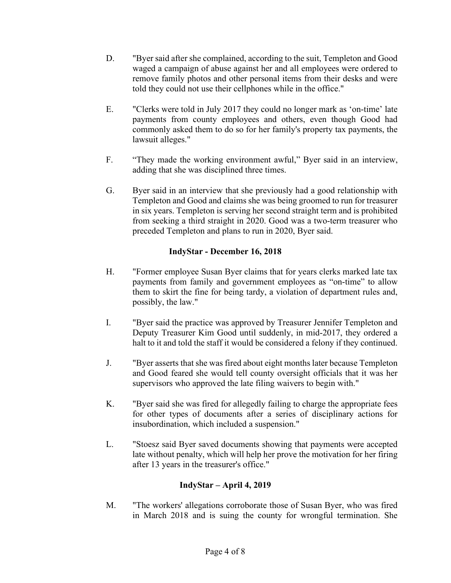- D. "Byer said after she complained, according to the suit, Templeton and Good waged a campaign of abuse against her and all employees were ordered to remove family photos and other personal items from their desks and were told they could not use their cellphones while in the office."
- E. "Clerks were told in July 2017 they could no longer mark as 'on-time' late payments from county employees and others, even though Good had commonly asked them to do so for her family's property tax payments, the lawsuit alleges."
- F. "They made the working environment awful," Byer said in an interview, adding that she was disciplined three times.
- G. Byer said in an interview that she previously had a good relationship with Templeton and Good and claims she was being groomed to run for treasurer in six years. Templeton is serving her second straight term and is prohibited from seeking a third straight in 2020. Good was a two-term treasurer who preceded Templeton and plans to run in 2020, Byer said.

# **IndyStar - December 16, 2018**

- H. "Former employee Susan Byer claims that for years clerks marked late tax payments from family and government employees as "on-time" to allow them to skirt the fine for being tardy, a violation of department rules and, possibly, the law."
- I. "Byer said the practice was approved by Treasurer Jennifer Templeton and Deputy Treasurer Kim Good until suddenly, in mid-2017, they ordered a halt to it and told the staff it would be considered a felony if they continued.
- J. "Byer asserts that she was fired about eight months later because Templeton and Good feared she would tell county oversight officials that it was her supervisors who approved the late filing waivers to begin with."
- K. "Byer said she was fired for allegedly failing to charge the appropriate fees for other types of documents after a series of disciplinary actions for insubordination, which included a suspension."
- L. "Stoesz said Byer saved documents showing that payments were accepted late without penalty, which will help her prove the motivation for her firing after 13 years in the treasurer's office."

# **IndyStar – April 4, 2019**

M. "The workers' allegations corroborate those of Susan Byer, who was fired in March 2018 and is suing the county for wrongful termination. She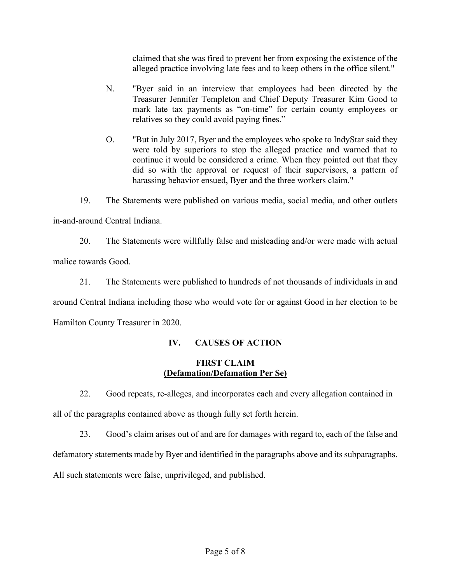claimed that she was fired to prevent her from exposing the existence of the alleged practice involving late fees and to keep others in the office silent."

- N. "Byer said in an interview that employees had been directed by the Treasurer Jennifer Templeton and Chief Deputy Treasurer Kim Good to mark late tax payments as "on-time" for certain county employees or relatives so they could avoid paying fines."
- O. "But in July 2017, Byer and the employees who spoke to IndyStar said they were told by superiors to stop the alleged practice and warned that to continue it would be considered a crime. When they pointed out that they did so with the approval or request of their supervisors, a pattern of harassing behavior ensued, Byer and the three workers claim."

19. The Statements were published on various media, social media, and other outlets in-and-around Central Indiana.

20. The Statements were willfully false and misleading and/or were made with actual malice towards Good.

21. The Statements were published to hundreds of not thousands of individuals in and around Central Indiana including those who would vote for or against Good in her election to be Hamilton County Treasurer in 2020.

# **IV. CAUSES OF ACTION**

## **FIRST CLAIM (Defamation/Defamation Per Se)**

22. Good repeats, re-alleges, and incorporates each and every allegation contained in all of the paragraphs contained above as though fully set forth herein.

23. Good's claim arises out of and are for damages with regard to, each of the false and defamatory statements made by Byer and identified in the paragraphs above and its subparagraphs. All such statements were false, unprivileged, and published.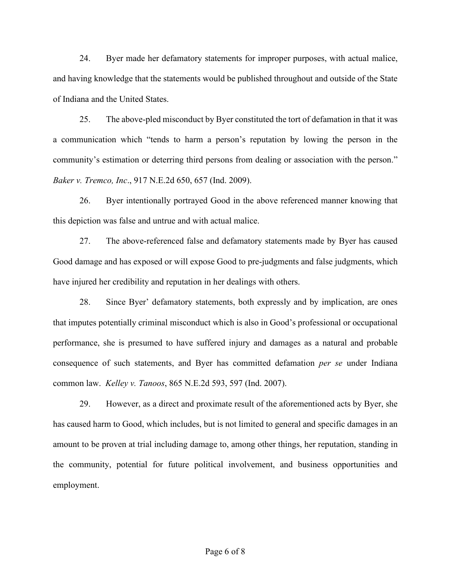24. Byer made her defamatory statements for improper purposes, with actual malice, and having knowledge that the statements would be published throughout and outside of the State of Indiana and the United States.

25. The above-pled misconduct by Byer constituted the tort of defamation in that it was a communication which "tends to harm a person's reputation by lowing the person in the community's estimation or deterring third persons from dealing or association with the person." *Baker v. Tremco, Inc*., 917 N.E.2d 650, 657 (Ind. 2009).

26. Byer intentionally portrayed Good in the above referenced manner knowing that this depiction was false and untrue and with actual malice.

27. The above-referenced false and defamatory statements made by Byer has caused Good damage and has exposed or will expose Good to pre-judgments and false judgments, which have injured her credibility and reputation in her dealings with others.

28. Since Byer' defamatory statements, both expressly and by implication, are ones that imputes potentially criminal misconduct which is also in Good's professional or occupational performance, she is presumed to have suffered injury and damages as a natural and probable consequence of such statements, and Byer has committed defamation *per se* under Indiana common law. *Kelley v. Tanoos*, 865 N.E.2d 593, 597 (Ind. 2007).

29. However, as a direct and proximate result of the aforementioned acts by Byer, she has caused harm to Good, which includes, but is not limited to general and specific damages in an amount to be proven at trial including damage to, among other things, her reputation, standing in the community, potential for future political involvement, and business opportunities and employment.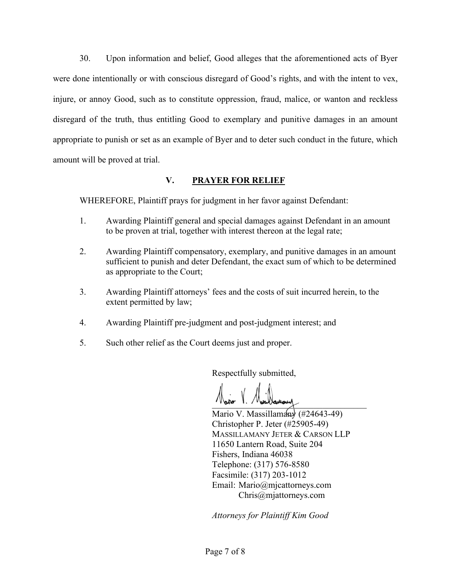30. Upon information and belief, Good alleges that the aforementioned acts of Byer were done intentionally or with conscious disregard of Good's rights, and with the intent to vex, injure, or annoy Good, such as to constitute oppression, fraud, malice, or wanton and reckless disregard of the truth, thus entitling Good to exemplary and punitive damages in an amount appropriate to punish or set as an example of Byer and to deter such conduct in the future, which amount will be proved at trial.

## **V. PRAYER FOR RELIEF**

WHEREFORE, Plaintiff prays for judgment in her favor against Defendant:

- 1. Awarding Plaintiff general and special damages against Defendant in an amount to be proven at trial, together with interest thereon at the legal rate;
- 2. Awarding Plaintiff compensatory, exemplary, and punitive damages in an amount sufficient to punish and deter Defendant, the exact sum of which to be determined as appropriate to the Court;
- 3. Awarding Plaintiff attorneys' fees and the costs of suit incurred herein, to the extent permitted by law;
- 4. Awarding Plaintiff pre-judgment and post-judgment interest; and
- 5. Such other relief as the Court deems just and proper.

Respectfully submitted,

Water 1. / voorlamour

Mario V. Massillamany  $(\#24643-49)$ Christopher P. Jeter (#25905-49) MASSILLAMANY JETER & CARSON LLP 11650 Lantern Road, Suite 204 Fishers, Indiana 46038 Telephone: (317) 576-8580 Facsimile: (317) 203-1012 Email: [Mario@mjcattorneys.com](mailto:Mario@mjcattorneys.com) [Chris@mjattorneys.com](mailto:Chris@mjattorneys.com) 

*Attorneys for Plaintiff Kim Good*